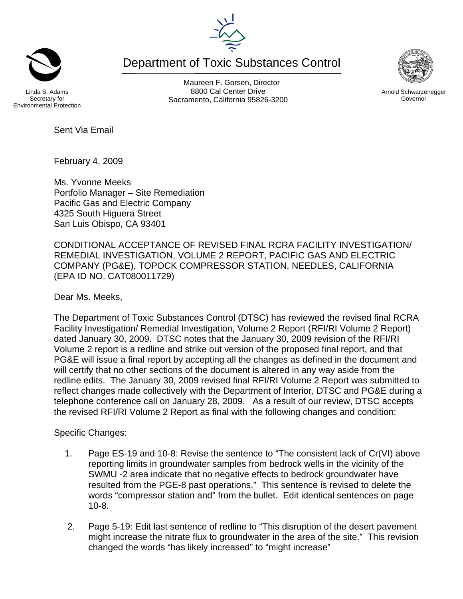## Linda S. Adams Secretary for Environmental Protection

Maureen F. Gorsen, Director 8800 Cal Center Drive Sacramento, California 95826-3200

Department of Toxic Substances Control



February 4, 2009

Sent Via Email

Ms. Yvonne Meeks Portfolio Manager – Site Remediation Pacific Gas and Electric Company 4325 South Higuera Street San Luis Obispo, CA 93401

CONDITIONAL ACCEPTANCE OF REVISED FINAL RCRA FACILITY INVESTIGATION/ REMEDIAL INVESTIGATION, VOLUME 2 REPORT, PACIFIC GAS AND ELECTRIC COMPANY (PG&E), TOPOCK COMPRESSOR STATION, NEEDLES, CALIFORNIA (EPA ID NO. CAT080011729)

Dear Ms. Meeks,

The Department of Toxic Substances Control (DTSC) has reviewed the revised final RCRA Facility Investigation/ Remedial Investigation, Volume 2 Report (RFI/RI Volume 2 Report) dated January 30, 2009. DTSC notes that the January 30, 2009 revision of the RFI/RI Volume 2 report is a redline and strike out version of the proposed final report, and that PG&E will issue a final report by accepting all the changes as defined in the document and will certify that no other sections of the document is altered in any way aside from the redline edits. The January 30, 2009 revised final RFI/RI Volume 2 Report was submitted to reflect changes made collectively with the Department of Interior, DTSC and PG&E during a telephone conference call on January 28, 2009. As a result of our review, DTSC accepts the revised RFI/RI Volume 2 Report as final with the following changes and condition:

Specific Changes:

- 1. Page ES-19 and 10-8: Revise the sentence to "The consistent lack of Cr(VI) above reporting limits in groundwater samples from bedrock wells in the vicinity of the SWMU -2 area indicate that no negative effects to bedrock groundwater have resulted from the PGE-8 past operations." This sentence is revised to delete the words "compressor station and" from the bullet. Edit identical sentences on page 10-8.
- 2. Page 5-19: Edit last sentence of redline to "This disruption of the desert pavement might increase the nitrate flux to groundwater in the area of the site." This revision changed the words "has likely increased" to "might increase"



Arnold Schwarzenegger Governor